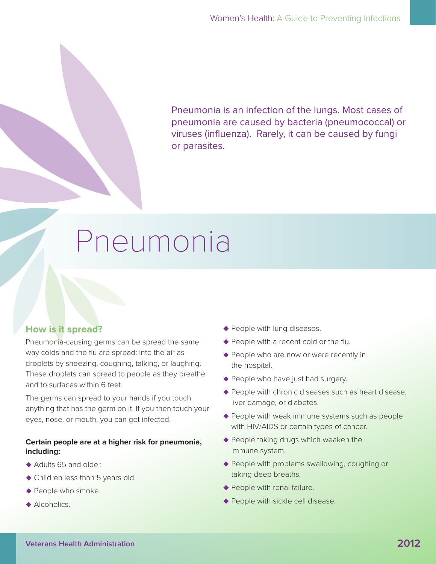Pneumonia is an infection of the lungs. Most cases of pneumonia are caused by bacteria (pneumococcal) or viruses (influenza). Rarely, it can be caused by fungi or parasites.

# Pneumonia

# **How is it spread?**

Pneumonia-causing germs can be spread the same way colds and the flu are spread: into the air as droplets by sneezing, coughing, talking, or laughing. These droplets can spread to people as they breathe and to surfaces within 6 feet.

The germs can spread to your hands if you touch anything that has the germ on it. If you then touch your eyes, nose, or mouth, you can get infected.

#### **Certain people are at a higher risk for pneumonia, including:**

- $\triangle$  Adults 65 and older.
- $\blacklozenge$  Children less than 5 years old.
- $\blacklozenge$  People who smoke.
- $\triangle$  Alcoholics.
- **People with lung diseases.**
- $\blacklozenge$  People with a recent cold or the flu.
- ◆ People who are now or were recently in the hospital.
- ◆ People who have just had surgery.
- $\blacklozenge$  People with chronic diseases such as heart disease, liver damage, or diabetes.
- $\blacklozenge$  People with weak immune systems such as people with HIV/AIDS or certain types of cancer.
- $\blacklozenge$  People taking drugs which weaken the immune system.
- ◆ People with problems swallowing, coughing or taking deep breaths.
- $\blacklozenge$  People with renal failure.
- ◆ People with sickle cell disease.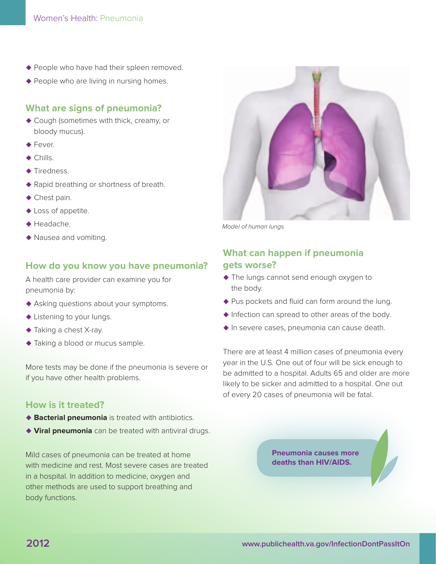- $\blacklozenge$  People who have had their spleen removed.
- $\blacklozenge$  People who are living in nursing homes.

#### **What are signs of pneumonia?**

- ◆ Cough (sometimes with thick, creamy, or bloody mucus).
- $\blacklozenge$  Fever.
- $\triangle$  Chills.
- $\blacklozenge$  Tiredness.
- ◆ Rapid breathing or shortness of breath.
- $\blacklozenge$  Chest pain.
- ◆ Loss of appetite.
- $\triangle$  Headache.
- $\blacklozenge$  Nausea and vomiting.

#### **How do you know you have pneumonia?**

A health care provider can examine you for pneumonia by:

- ◆ Asking questions about your symptoms.
- $\blacklozenge$  Listening to your lungs.
- ◆ Taking a chest X-ray.
- $\blacklozenge$  Taking a blood or mucus sample.

More tests may be done if the pneumonia is severe or if you have other health problems.

#### **How is it treated?**

- **Bacterial pneumonia** is treated with antibiotics.
- **Viral pneumonia** can be treated with antiviral drugs.

Mild cases of pneumonia can be treated at home with medicine and rest. Most severe cases are treated in a hospital. In addition to medicine, oxygen and other methods are used to support breathing and body functions.



Model of human lungs

## **What can happen if pneumonia gets worse?**

- $\blacklozenge$  The lungs cannot send enough oxygen to the body.
- $\blacklozenge$  Pus pockets and fluid can form around the lung.
- $\blacklozenge$  Infection can spread to other areas of the body.
- $\blacklozenge$  In severe cases, pneumonia can cause death.

There are at least 4 million cases of pneumonia every year in the U.S. One out of four will be sick enough to be admitted to a hospital. Adults 65 and older are more likely to be sicker and admitted to a hospital. One out of every 20 cases of pneumonia will be fatal.

> **Pneumonia causes more deaths than HIV/AIDS.**